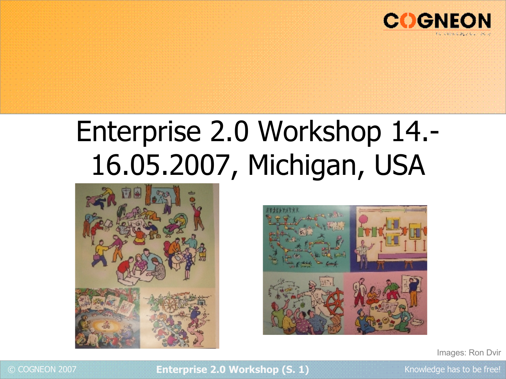

## Enterprise 2.0 Workshop 14.- 16.05.2007, Michigan, USA





Images: Ron Dvir



### © COGNEON 2007 **Enterprise 2.0 Workshop (S. 1)** Knowledge has to be free!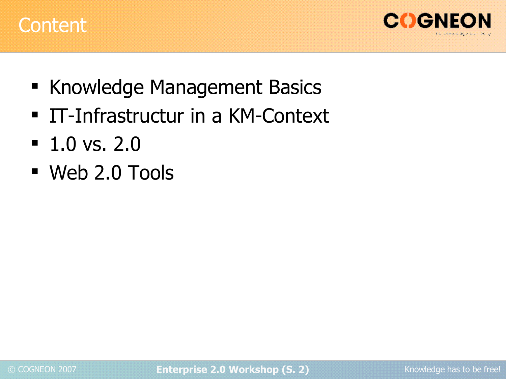



- **Knowledge Management Basics**
- IT-Infrastructur in a KM-Context
- $-1.0$  vs. 2.0
- Web 2.0 Tools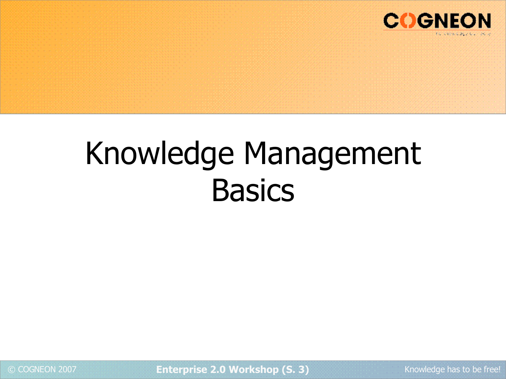

# Knowledge Management **Basics**

© COGNEON 2007 **Enterprise 2.0 Workshop (S. 3)** Knowledge has to be free!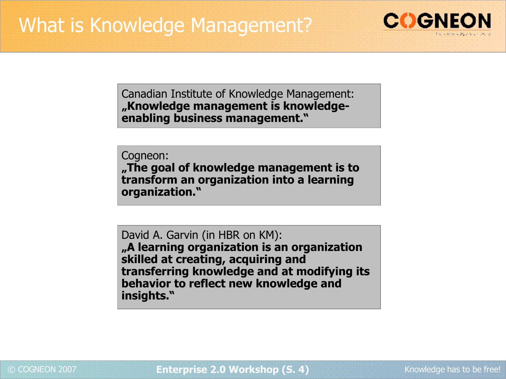

Canadian Institute of Knowledge Management: **"Knowledge management is knowledgeenabling business management."**

Cogneon: **"The goal of knowledge management is to transform an organization into a learning organization."**

David A. Garvin (in HBR on KM): **"A learning organization is an organization skilled at creating, acquiring and transferring knowledge and at modifying its behavior to reflect new knowledge and insights."**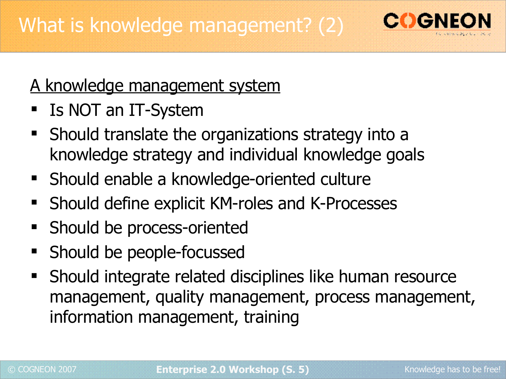

### A knowledge management system

- Is NOT an IT-System
- **Should translate the organizations strategy into a** knowledge strategy and individual knowledge goals
- Should enable a knowledge-oriented culture
- Should define explicit KM-roles and K-Processes
- Should be process-oriented
- Should be people-focussed
- Should integrate related disciplines like human resource management, quality management, process management, information management, training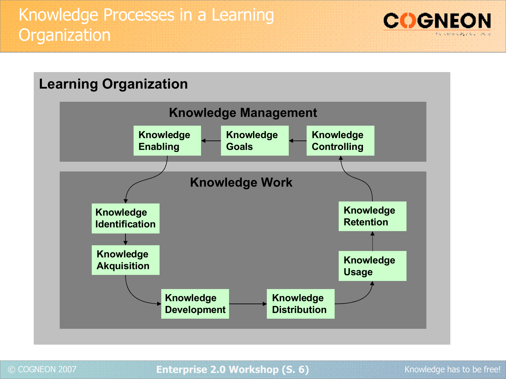



### © COGNEON 2007 **Enterprise 2.0 Workshop (S. 6)** Knowledge has to be free!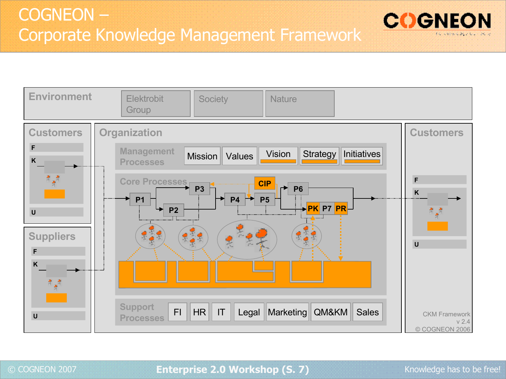



### © COGNEON 2007 **Enterprise 2.0 Workshop (S. 7)** Knowledge has to be free!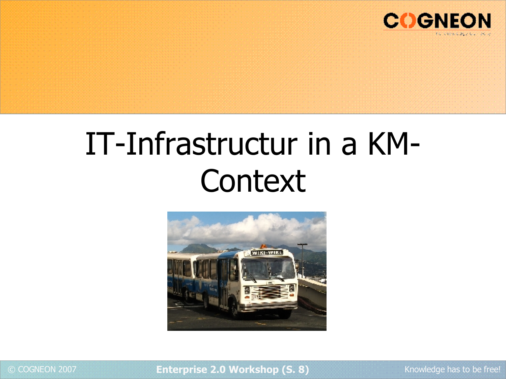

## IT-Infrastructur in a KM-**Context**



© COGNEON 2007 **Enterprise 2.0 Workshop (S. 8)** Knowledge has to be free!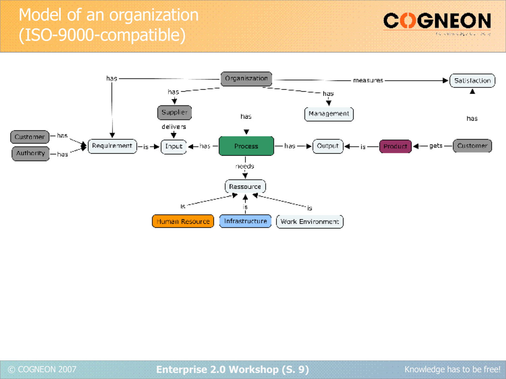## Model of an organization (ISO-9000-compatible)





© COGNEON 2007 **Enterprise 2.0 Workshop (S. 9)** Knowledge has to be free!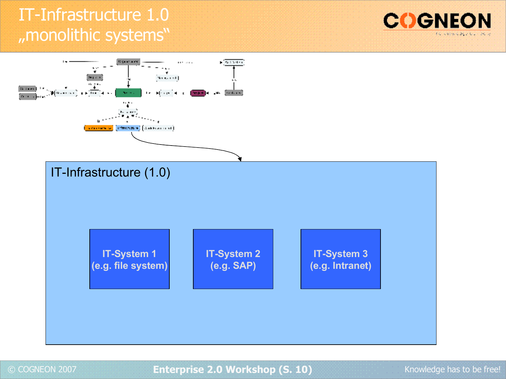## IT-Infrastructure 1.0 "monolithic systems"





© COGNEON 2007 **Enterprise 2.0 Workshop (S. 10)** Knowledge has to be free!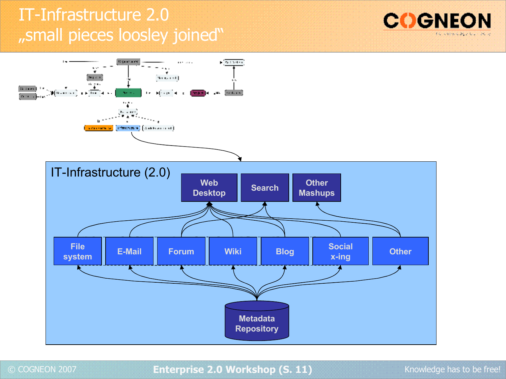## IT-Infrastructure 2.0 "small pieces loosley joined"





© COGNEON 2007 **Enterprise 2.0 Workshop (S. 11)** Knowledge has to be free!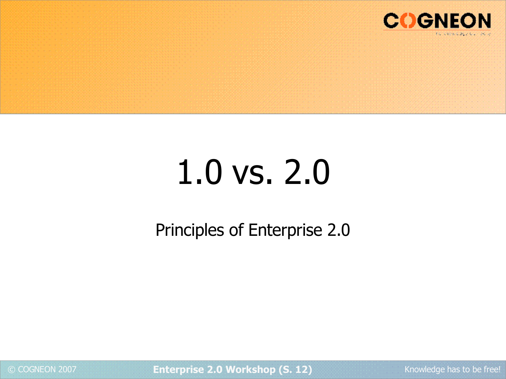

# 1.0 vs. 2.0

Principles of Enterprise 2.0

© COGNEON 2007 **Enterprise 2.0 Workshop (S. 12)** Knowledge has to be free!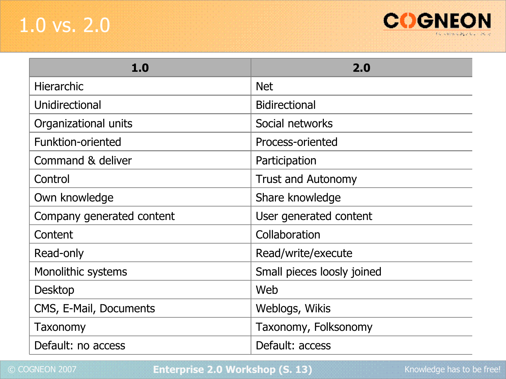## 1.0 vs. 2.0



| 1.0                       | 2.0                        |
|---------------------------|----------------------------|
| <b>Hierarchic</b>         | <b>Net</b>                 |
| Unidirectional            | <b>Bidirectional</b>       |
| Organizational units      | Social networks            |
| Funktion-oriented         | Process-oriented           |
| Command & deliver         | Participation              |
| Control                   | <b>Trust and Autonomy</b>  |
| Own knowledge             | Share knowledge            |
| Company generated content | User generated content     |
| Content                   | Collaboration              |
| Read-only                 | Read/write/execute         |
| Monolithic systems        | Small pieces loosly joined |
| <b>Desktop</b>            | Web                        |
| CMS, E-Mail, Documents    | Weblogs, Wikis             |
| Taxonomy                  | Taxonomy, Folksonomy       |
| Default: no access        | Default: access            |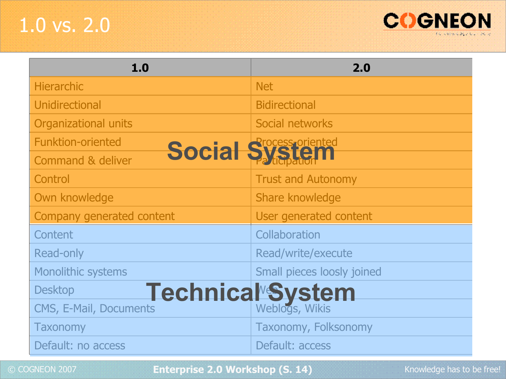## 1.0 vs. 2.0



| 1.0                                                 | 2.0                        |
|-----------------------------------------------------|----------------------------|
| <b>Hierarchic</b>                                   | <b>Net</b>                 |
| Unidirectional                                      | <b>Bidirectional</b>       |
| <b>Organizational units</b>                         | Social networks            |
| <b>Funktion-oriented</b>                            | <b>Social System</b>       |
| <b>Command &amp; deliver</b>                        |                            |
| Control                                             | <b>Trust and Autonomy</b>  |
| Own knowledge                                       | Share knowledge            |
| Company generated content                           | User generated content     |
| Content                                             | Collaboration              |
| <b>Read-only</b>                                    | Read/write/execute         |
| <b>Monolithic systems</b>                           | Small pieces loosly joined |
| Technical <sup>&amp;</sup> System<br><b>Desktop</b> |                            |
| CMS, E-Mail, Documents                              | Weblogs, Wikis             |
| <b>Taxonomy</b>                                     | Taxonomy, Folksonomy       |
| Default: no access                                  | Default: access            |

© COGNEON 2007 **Enterprise 2.0 Workshop (S. 14)** Knowledge has to be free!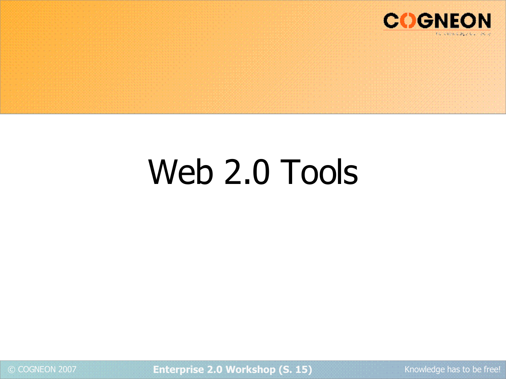

# Web 2.0 Tools

© COGNEON 2007 **Enterprise 2.0 Workshop (S. 15)** Knowledge has to be free!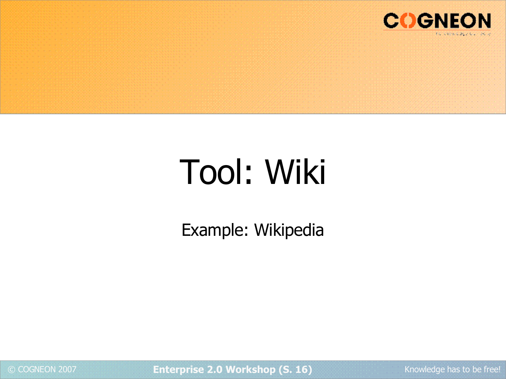

# Tool: Wiki

Example: Wikipedia

© COGNEON 2007 **Enterprise 2.0 Workshop (S. 16)** Knowledge has to be free!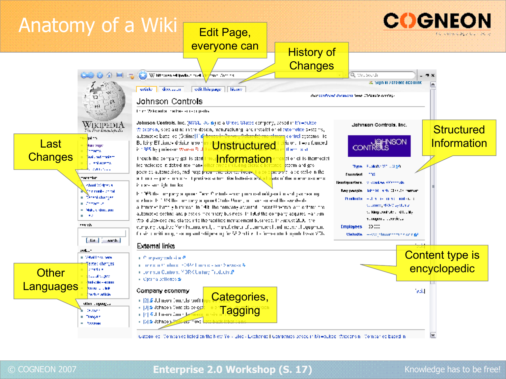

### © COGNEON 2007 **Enterprise 2.0 Workshop (S. 17)** Knowledge has to be free!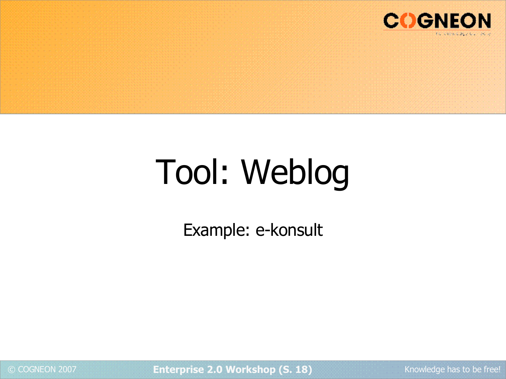

# Tool: Weblog

Example: e-konsult

© COGNEON 2007 **Enterprise 2.0 Workshop (S. 18)** Knowledge has to be free!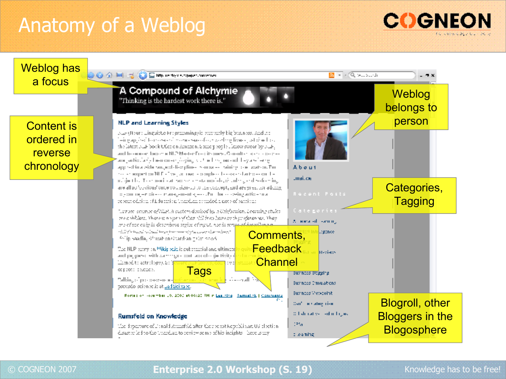## Anatomy of a Weblog





### © COGNEON 2007 **Enterprise 2.0 Workshop (S. 19)** Knowledge has to be free!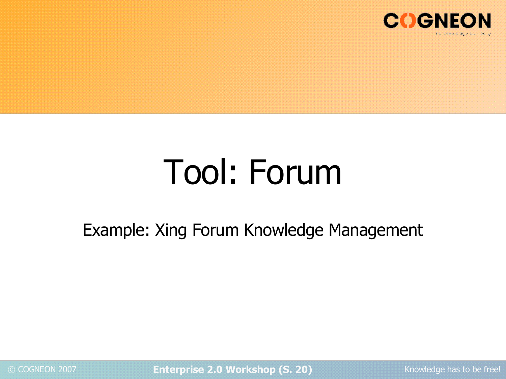

# Tool: Forum

## Example: Xing Forum Knowledge Management

© COGNEON 2007 **Enterprise 2.0 Workshop (S. 20)** Knowledge has to be free!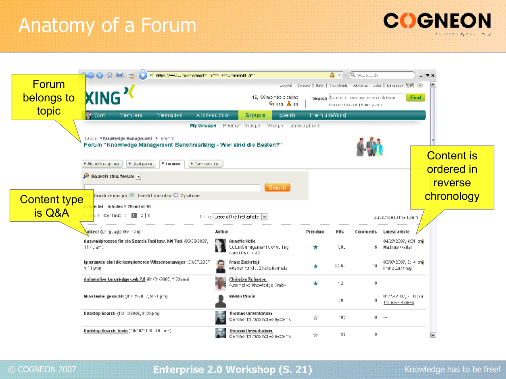## Anatomy of a Forum



|                     | AC Mino Chessuary conferents, who is the momental and                                                          |                                                               |                       | 直 · 《Q >  s di                                                          | - 7 X             |
|---------------------|----------------------------------------------------------------------------------------------------------------|---------------------------------------------------------------|-----------------------|-------------------------------------------------------------------------|-------------------|
| <b>Forum</b>        |                                                                                                                |                                                               |                       | Legech Contact   Halp   Constants   About as   Lenguage 関係   回          |                   |
| belongs to          | <b>XING</b> <sup>2</sup>                                                                                       | 19, 99 members chiling<br>Sana Ara                            |                       | Search Daniel Communication determined<br>Commet Scool   Prince average | Find.             |
| topic               | <b>H</b> Stern<br>Members<br>Messages<br>ACCEESS ECO-                                                          | Events<br>Groups                                              | them univer d         |                                                                         |                   |
|                     |                                                                                                                | My Groups - Premium Storps - Srcipe - Babscriptions           |                       |                                                                         |                   |
|                     | Totals, . Numerledge Management . Honority<br>Forum "Knowledge Management Benchmarking - Wer aind die Beaten?" |                                                               |                       |                                                                         |                   |
|                     |                                                                                                                |                                                               |                       |                                                                         | <b>Content is</b> |
|                     | Roughland #<br><b>TIMBRO</b><br>Figure : Re-Tix<br>K Ahmilte group                                             |                                                               |                       |                                                                         | ordered in        |
|                     | <sup>20</sup> Bearch this forum +                                                                              |                                                               |                       |                                                                         | reverse           |
|                     |                                                                                                                | Search                                                        |                       |                                                                         |                   |
| <b>Content type</b> | issuit impulse $\otimes$ issuit cand-x $\otimes$ by stock-<br><b>Article tel: Articles 1.20 unit of 40</b>     |                                                               |                       |                                                                         | chronology        |
| is Q&A              | $k \in \mathbb{C}$ orinus : $\ \cdot\  \leq k \leq k$                                                          | (in eq. Luete of the first article [19]                       |                       | <b>Successfullne Lium</b>                                               |                   |
|                     |                                                                                                                |                                                               |                       |                                                                         |                   |
|                     | <mark>Subject (La rguago: Gleiman)</mark> .<br><b>Author</b>                                                   |                                                               | <b>HHs</b><br>Premium | Comments<br>Lacesc article                                              |                   |
|                     | Auswahlurozess fiir ein Search Tool bzw. KM Tool (03/28/3007,<br>11 fuldmail                                   | Aunctic Helle<br>Color Management Consuling<br>Guidh Store 40 | tu.                   | 04/27/2007, 4:31 cm9<br>Madrash-silar<br>в.                             |                   |
|                     | ignorancen simi die komplexeren Wissensmanager :0307/2007<br>of Light                                          | Franz Zuckriegi<br>vitesen wird  21 et uitenriele.            | $1: K_1$              | 03/07/2007, 0: 4 cmP<br>. н<br>Than a Duckhey                           |                   |
|                     | Automotive lausaledge vada 2.0 (01:31:2002, 2.20 por).                                                         | Christian School en<br>Automotive King-Hedgio (>mb-           | $\cdot$ 2             | 0.                                                                      |                   |
|                     | Miller berter, geword it (10), 2020, 2, 92-1 prop.                                                             | Yükablu Muu im                                                | л.                    | IP 2502 IR (+ IF (ii)<br>я<br>The main King-S                           |                   |
|                     | Desktop Search (10) 0:3002, 8:29 pm)                                                                           | Tivamas Unverdarium<br>Continental automotive Systems.        | 10.<br>ġ.             | <b>U</b>                                                                |                   |
|                     | Heideling Search, bode ("TD"TC" L.K., TH, St")                                                                 | Thumas Dreamhober<br>Confinental automotive Systems           | 83<br>÷.              | 0.                                                                      | M                 |

### © COGNEON 2007 **Enterprise 2.0 Workshop (S. 21)** Knowledge has to be free!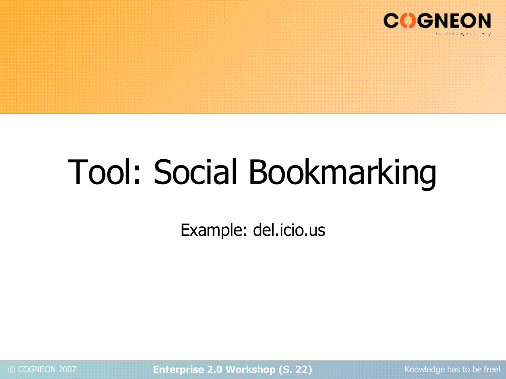

# Tool: Social Bookmarking

Example: del.icio.us

© COGNEON 2007 **Enterprise 2.0 Workshop (S. 22)** Knowledge has to be free!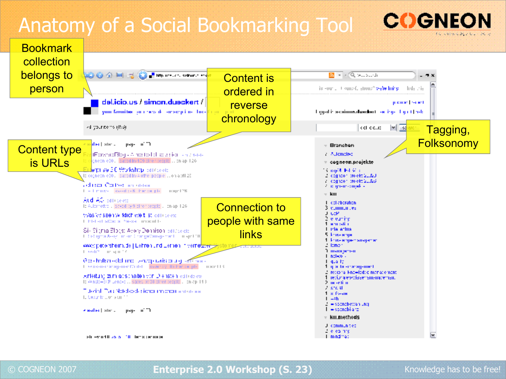## Anatomy of a Social Bookmarking Tool



© COGNEON 2007 **Enterprise 2.0 Workshop (S. 23)** Knowledge has to be free!

**COGNE**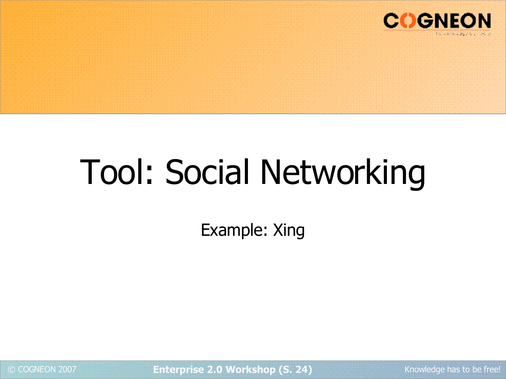

# Tool: Social Networking

Example: Xing

© COGNEON 2007 **Enterprise 2.0 Workshop (S. 24)** Knowledge has to be free!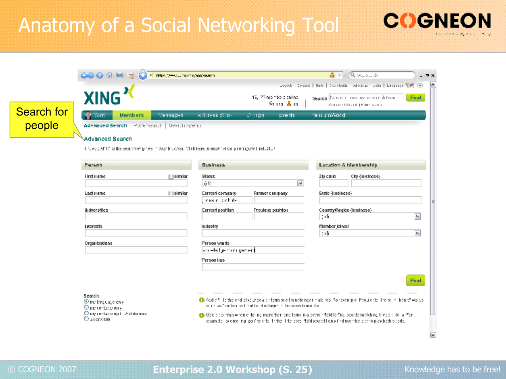## Anatomy of a Social Networking Tool



### © COGNEON 2007 **Enterprise 2.0 Workshop (S. 25)** Knowledge has to be free!

**COGNEON**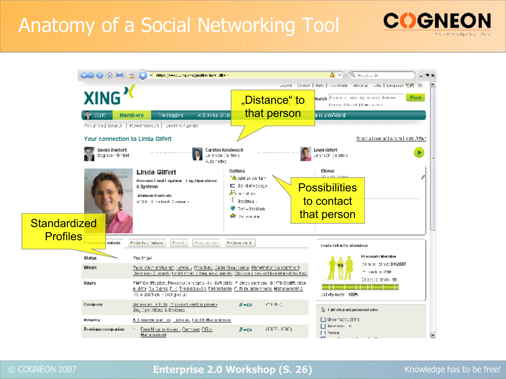## Anatomy of a Social Networking Tool



|                     | COOK OF A REAL EXPLANATION CONTRIGHT |                                                                                                                                                                                                                                       |                                                                                                                                       | $\overline{\mathbf{a}}$ = $\mathbf{a}$ ( $\overline{\mathbf{a}}$ but such                                                                      |             |
|---------------------|--------------------------------------|---------------------------------------------------------------------------------------------------------------------------------------------------------------------------------------------------------------------------------------|---------------------------------------------------------------------------------------------------------------------------------------|------------------------------------------------------------------------------------------------------------------------------------------------|-------------|
|                     | XING <sup>1</sup>                    |                                                                                                                                                                                                                                       | "Distance" to                                                                                                                         | Legech Contact   Halp   Constants   About as   Language 関係   回<br><b>Narch</b> Daniel China by insert differing<br>Control Stand (Figure 2010) | <b>Find</b> |
|                     | <b>Start</b>                         | Address 500<br>Members<br>Messages                                                                                                                                                                                                    | that person                                                                                                                           | emum Mord                                                                                                                                      |             |
|                     | Your connection to Linda Gilfert     | Advanced Gearch   Rulearsearch   Dearch Agents                                                                                                                                                                                        |                                                                                                                                       | Show a licensed or similar da 3 feb                                                                                                            |             |
|                     | Sanon Vixtkert<br>Obginbor GiribH    | Carsten Gerslausch-<br>Lorrison Controls<br>Automotive                                                                                                                                                                                |                                                                                                                                       | Links Gilteri<br>London Controls                                                                                                               |             |
| <b>Standardized</b> |                                      | <b>Linda Gilfert</b><br>PODSKI Red Eqgress - Eqg.Dps shous<br>6. Systems<br>Julianovica (Combination)<br>600-lead to distributed Communi-                                                                                             | Oidlans<br><sup>e</sup> da addiae contacti<br>ED Bendmedsage<br>dia mentas<br>41<br>Bookma -<br><sup>®</sup> Dot–Instian<br>s⊋ ⊹г–пля | Mento:<br><b>Possibilities</b><br>to contact<br>that person                                                                                    |             |
| <b>Profiles</b>     | district<br><b>Filmanio</b>          | $1 - 1 - 1$<br>$P = 1 - 11 - 11$<br>Printle: telenx                                                                                                                                                                                   | Frin-x in F                                                                                                                           | Truster Gill en l'or edecinduren                                                                                                               |             |
|                     | Status                               | Emathawa                                                                                                                                                                                                                              |                                                                                                                                       | Premium Mender                                                                                                                                 |             |
|                     | <b>Youngs</b>                        | <u>Euro innot embargo, sexoria Otachino, Auturaliousrando Kno-forbe vanagorre il</u><br>Insertex- Contacts, for if there is they as Conedis, Character costs of the cubersity's King                                                  |                                                                                                                                       | vempel of rec: 04:2007<br>5. TRU & 23P                                                                                                         |             |
|                     | Haves                                | PMP Oertfleaden, Proceesu (londept bivilis) Soft eklig. Professionaliom 18 (IFB Oertfflealien)<br><u>A. dift: De Digma, E. r., Training skilla, Enfruataem I.C. fu tallawareness, Manademant A.</u><br>(to ordination) - decripted up |                                                                                                                                       | El estas declo 49<br>axists more 100%                                                                                                          |             |
|                     | Emipany                              | Jurien in the Is thread earling near-<br>Englishe offend & Bistems.                                                                                                                                                                   | TH 11-1<br>$B = CD$                                                                                                                   | Subu bancang terminal da 1 盖                                                                                                                   |             |
|                     | Industry                             | А. Епитем том, так так не, вас вымывается                                                                                                                                                                                             |                                                                                                                                       | Elettro raccontri di<br>$\Box$ In-most of                                                                                                      |             |
|                     | Ргейны спортнее                      | Food Napole Ky-ski, Cemberg Cfic-<br>Harsenardi                                                                                                                                                                                       | (1977) 1797).<br>$B = CD$                                                                                                             | П Чемн                                                                                                                                         |             |

### © COGNEON 2007 **Enterprise 2.0 Workshop (S. 26)** Knowledge has to be free!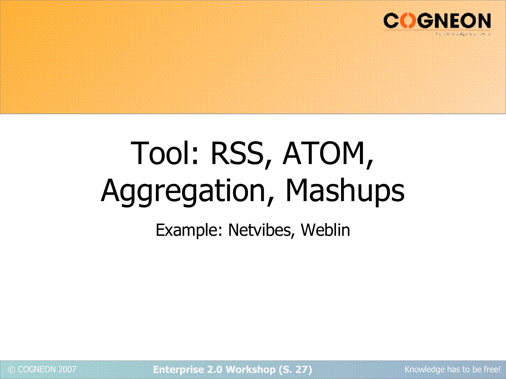

# Tool: RSS, ATOM, Aggregation, Mashups

Example: Netvibes, Weblin

© COGNEON 2007 **Enterprise 2.0 Workshop (S. 27)** Knowledge has to be free!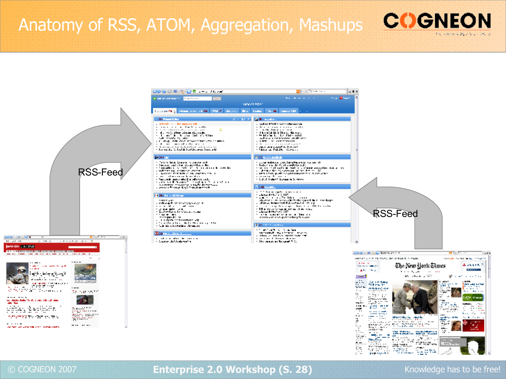### Anatomy of RSS, ATOM, Aggregation, Mashups





### © COGNEON 2007 **Enterprise 2.0 Workshop (S. 28)** Knowledge has to be free!